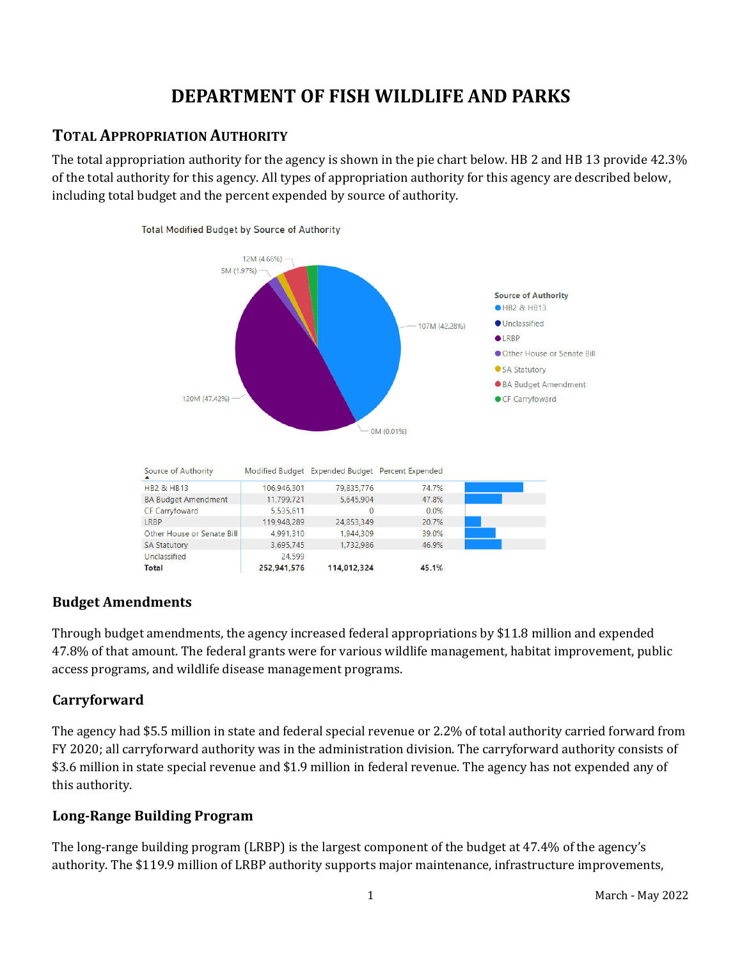# **DEPARTMENT OF FISH WILDLIFE AND PARKS**

# **TOTAL APPROPRIATION AUTHORITY**

The total appropriation authority for the agency is shown in the pie chart below. HB 2 and HB 13 provide 42.3% of the total authority for this agency. All types of appropriation authority for this agency are described below, including total budget and the percent expended by source of authority.



# **Budget Amendments**

Through budget amendments, the agency increased federal appropriations by \$11.8 million and expended 47.8% of that amount. The federal grants were for various wildlife management, habitat improvement, public access programs, and wildlife disease management programs.

# **Carryforward**

The agency had \$5.5 million in state and federal special revenue or 2.2% of total authority carried forward from FY 2020; all carryforward authority was in the administration division. The carryforward authority consists of \$3.6 million in state special revenue and \$1.9 million in federal revenue. The agency has not expended any of this authority.

# **Long-Range Building Program**

The long-range building program (LRBP) is the largest component of the budget at 47.4% of the agency's authority. The \$119.9 million of LRBP authority supports major maintenance, infrastructure improvements,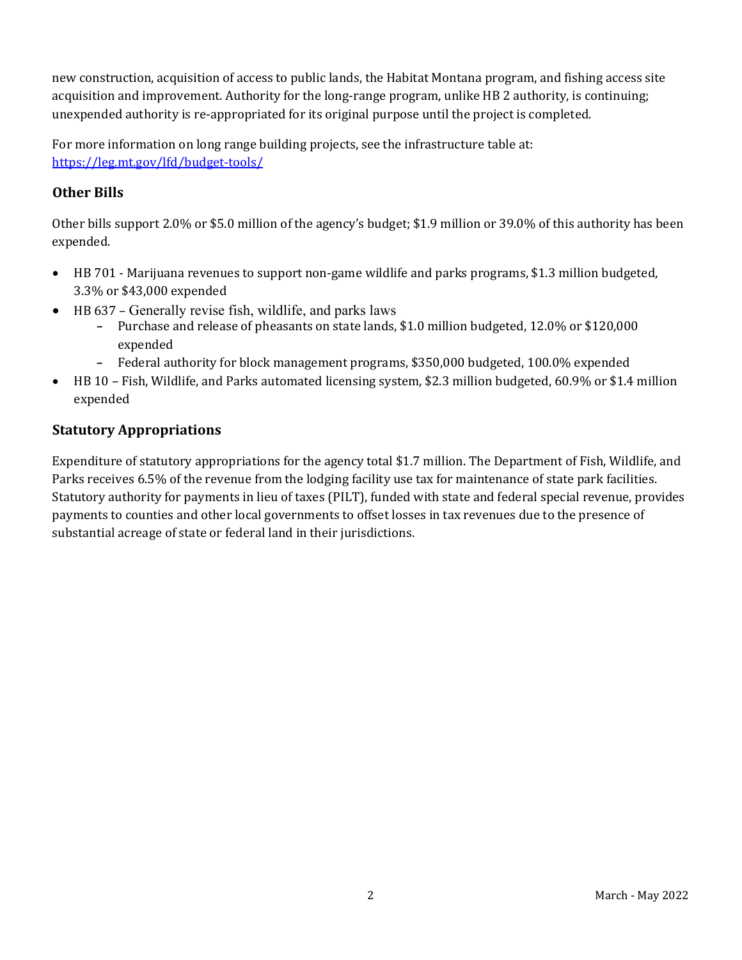new construction, acquisition of access to public lands, the Habitat Montana program, and fishing access site acquisition and improvement. Authority for the long-range program, unlike HB 2 authority, is continuing; unexpended authority is re-appropriated for its original purpose until the project is completed.

For more information on long range building projects, see the infrastructure table at: <https://leg.mt.gov/lfd/budget-tools/>

# **Other Bills**

Other bills support 2.0% or \$5.0 million of the agency's budget; \$1.9 million or 39.0% of this authority has been expended.

- HB 701 Marijuana revenues to support non-game wildlife and parks programs, \$1.3 million budgeted, 3.3% or \$43,000 expended
- HB 637 Generally revise fish, wildlife, and parks laws
	- **-** Purchase and release of pheasants on state lands, \$1.0 million budgeted, 12.0% or \$120,000 expended
	- **-** Federal authority for block management programs, \$350,000 budgeted, 100.0% expended
- HB 10 Fish, Wildlife, and Parks automated licensing system, \$2.3 million budgeted, 60.9% or \$1.4 million expended

# **Statutory Appropriations**

Expenditure of statutory appropriations for the agency total \$1.7 million. The Department of Fish, Wildlife, and Parks receives 6.5% of the revenue from the lodging facility use tax for maintenance of state park facilities. Statutory authority for payments in lieu of taxes (PILT), funded with state and federal special revenue, provides payments to counties and other local governments to offset losses in tax revenues due to the presence of substantial acreage of state or federal land in their jurisdictions.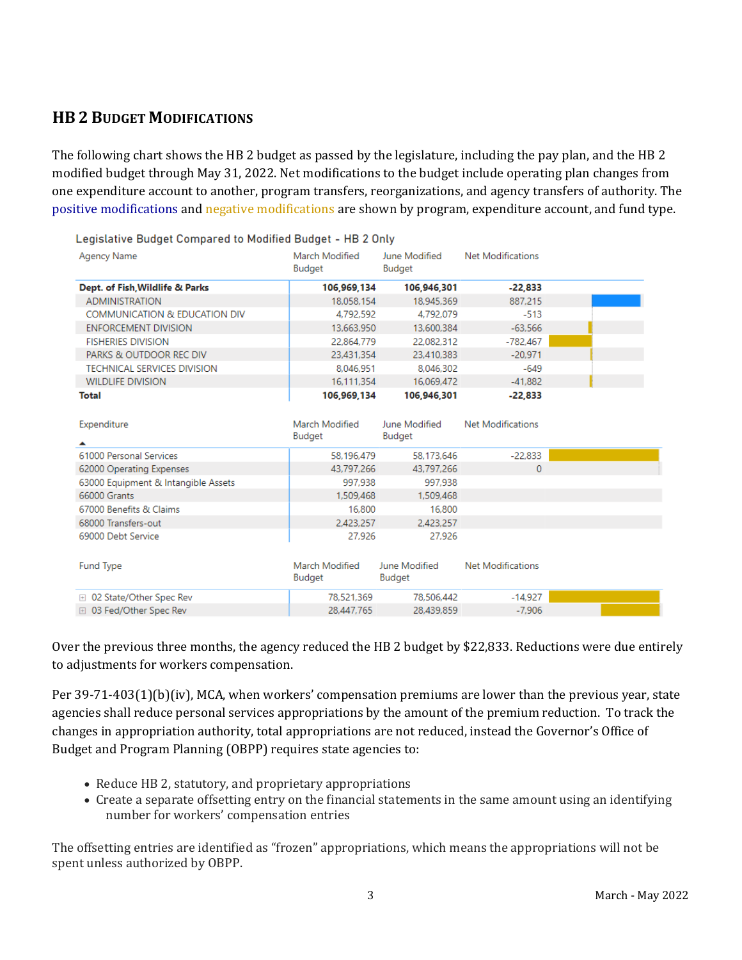# **HB 2 BUDGET MODIFICATIONS**

The following chart shows the HB 2 budget as passed by the legislature, including the pay plan, and the HB 2 modified budget through May 31, 2022. Net modifications to the budget include operating plan changes from one expenditure account to another, program transfers, reorganizations, and agency transfers of authority. The positive modifications and negative modifications are shown by program, expenditure account, and fund type.

Legislative Budget Compared to Modified Budget - HB 2 Only

| Agency Name                     | March Modified<br><b>Budget</b> | June Modified<br>Budget | Net Modifications |  |
|---------------------------------|---------------------------------|-------------------------|-------------------|--|
| Dept. of Fish, Wildlife & Parks | 106,969,134                     | 106,946,301             | $-22,833$         |  |
| <b>ADMINISTRATION</b>           | 18.058.154                      | 18.945.369              | 887,215           |  |
| COMMUNICATION & EDUCATION DIV   | 4,792,592                       | 4.792.079               | $-513$            |  |
| <b>ENFORCEMENT DIVISION</b>     | 13,663,950                      | 13,600,384              | $-63.566$         |  |
| <b>FISHERIES DIVISION</b>       | 22,864,779                      | 22.082.312              | $-782.467$        |  |
| PARKS & OUTDOOR REC DIV         | 23,431,354                      | 23,410,383              | $-20.971$         |  |
| TECHNICAL SERVICES DIVISION     | 8.046.951                       | 8.046.302               | $-649$            |  |
| <b>WILDLIFE DIVISION</b>        | 16,111,354                      | 16,069,472              | $-41.882$         |  |
| Total                           | 106,969,134                     | 106,946,301             | $-22.833$         |  |

| Expenditure                         | March Modified<br>Budget | June Modified<br><b>Budget</b> | Net Modifications |  |
|-------------------------------------|--------------------------|--------------------------------|-------------------|--|
| 61000 Personal Services             | 58,196,479               | 58,173,646                     | $-22.833$         |  |
| 62000 Operating Expenses            | 43,797,266               | 43,797,266                     | 0                 |  |
| 63000 Equipment & Intangible Assets | 997,938                  | 997,938                        |                   |  |
| 66000 Grants                        | 1,509,468                | 1,509,468                      |                   |  |
| 67000 Benefits & Claims             | 16,800                   | 16,800                         |                   |  |
| 68000 Transfers-out                 | 2,423,257                | 2,423,257                      |                   |  |
| 69000 Debt Service                  | 27,926                   | 27.926                         |                   |  |
| Fund Type                           | March Modified<br>Budget | June Modified<br>Budget        | Net Modifications |  |
| <b>E</b> 02 State/Other Spec Rev    | 78.521.369               | 78,506,442                     | $-14.927$         |  |
| <b>EL 03 Fed/Other Snec Rev</b>     | 28 447 765               | 28 139 859                     | $-7906$           |  |

Over the previous three months, the agency reduced the HB 2 budget by \$22,833. Reductions were due entirely to adjustments for workers compensation.

Per 39-71-403(1)(b)(iv), MCA, when workers' compensation premiums are lower than the previous year, state agencies shall reduce personal services appropriations by the amount of the premium reduction. To track the changes in appropriation authority, total appropriations are not reduced, instead the Governor's Office of Budget and Program Planning (OBPP) requires state agencies to:

- Reduce HB 2, statutory, and proprietary appropriations
- Create a separate offsetting entry on the financial statements in the same amount using an identifying number for workers' compensation entries

The offsetting entries are identified as "frozen" appropriations, which means the appropriations will not be spent unless authorized by OBPP.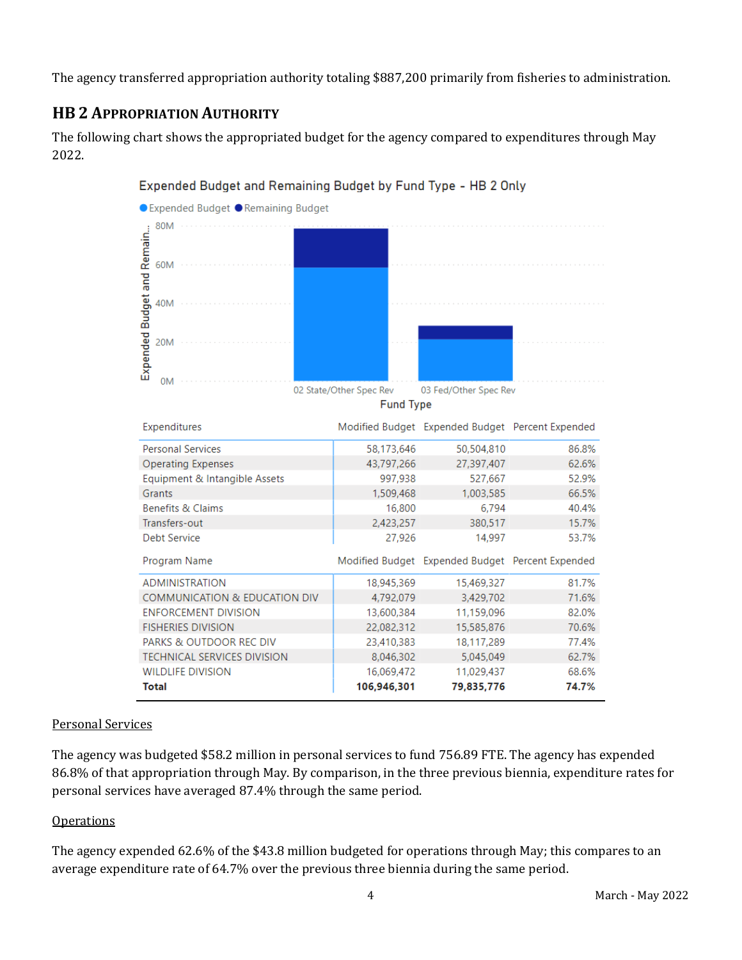The agency transferred appropriation authority totaling \$887,200 primarily from fisheries to administration.

# **HB 2 APPROPRIATION AUTHORITY**

The following chart shows the appropriated budget for the agency compared to expenditures through May 2022.



# Expended Budget and Remaining Budget by Fund Type - HB 2 Only

#### Personal Services

The agency was budgeted \$58.2 million in personal services to fund 756.89 FTE. The agency has expended 86.8% of that appropriation through May. By comparison, in the three previous biennia, expenditure rates for personal services have averaged 87.4% through the same period.

# **Operations**

The agency expended 62.6% of the \$43.8 million budgeted for operations through May; this compares to an average expenditure rate of 64.7% over the previous three biennia during the same period.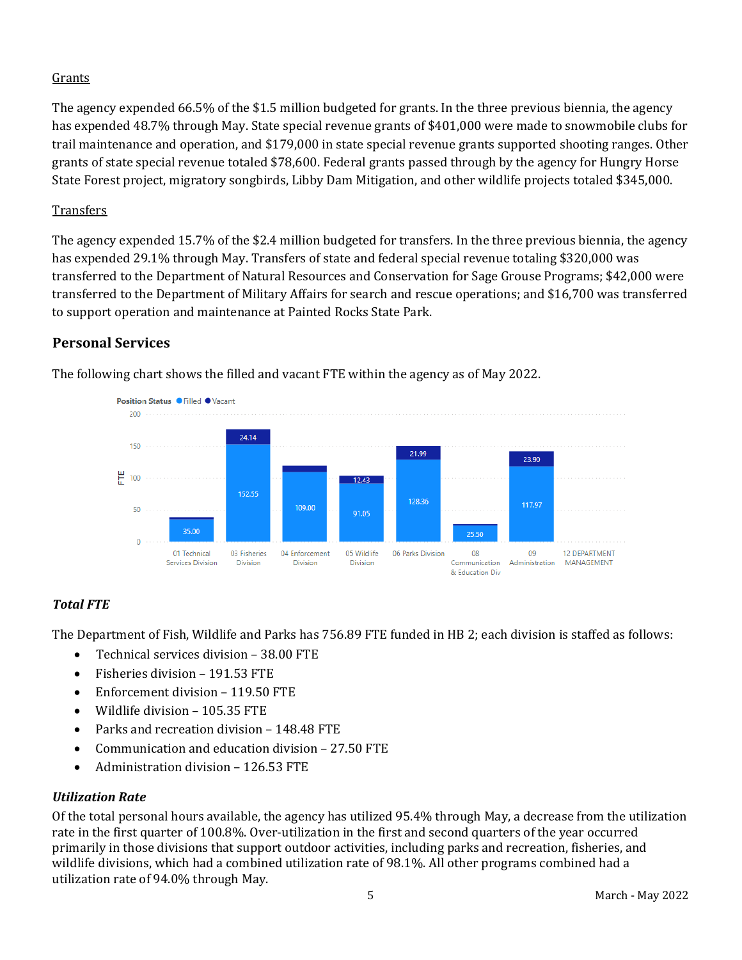### Grants

The agency expended 66.5% of the \$1.5 million budgeted for grants. In the three previous biennia, the agency has expended 48.7% through May. State special revenue grants of \$401,000 were made to snowmobile clubs for trail maintenance and operation, and \$179,000 in state special revenue grants supported shooting ranges. Other grants of state special revenue totaled \$78,600. Federal grants passed through by the agency for Hungry Horse State Forest project, migratory songbirds, Libby Dam Mitigation, and other wildlife projects totaled \$345,000.

### **Transfers**

The agency expended 15.7% of the \$2.4 million budgeted for transfers. In the three previous biennia, the agency has expended 29.1% through May. Transfers of state and federal special revenue totaling \$320,000 was transferred to the Department of Natural Resources and Conservation for Sage Grouse Programs; \$42,000 were transferred to the Department of Military Affairs for search and rescue operations; and \$16,700 was transferred to support operation and maintenance at Painted Rocks State Park.

# **Personal Services**



The following chart shows the filled and vacant FTE within the agency as of May 2022.

# *Total FTE*

The Department of Fish, Wildlife and Parks has 756.89 FTE funded in HB 2; each division is staffed as follows:

- Technical services division 38.00 FTE
- Fisheries division 191.53 FTE
- Enforcement division 119.50 FTE
- Wildlife division 105.35 FTE
- Parks and recreation division 148.48 FTE
- Communication and education division 27.50 FTE
- Administration division 126.53 FTE

#### *Utilization Rate*

Of the total personal hours available, the agency has utilized 95.4% through May, a decrease from the utilization rate in the first quarter of 100.8%. Over-utilization in the first and second quarters of the year occurred primarily in those divisions that support outdoor activities, including parks and recreation, fisheries, and wildlife divisions, which had a combined utilization rate of 98.1%. All other programs combined had a utilization rate of 94.0% through May.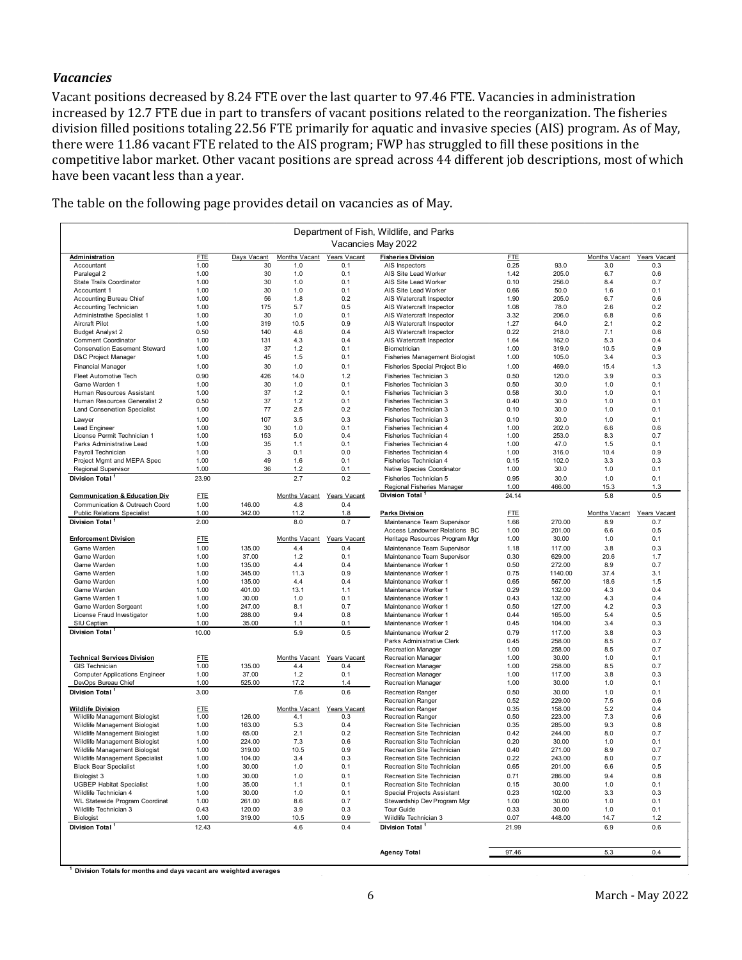#### *Vacancies*

Vacant positions decreased by 8.24 FTE over the last quarter to 97.46 FTE. Vacancies in administration increased by 12.7 FTE due in part to transfers of vacant positions related to the reorganization. The fisheries division filled positions totaling 22.56 FTE primarily for aquatic and invasive species (AIS) program. As of May, there were 11.86 vacant FTE related to the AIS program; FWP has struggled to fill these positions in the competitive labor market. Other vacant positions are spread across 44 different job descriptions, most of which have been vacant less than a year.

The table on the following page provides detail on vacancies as of May.

| Department of Fish, Wildlife, and Parks                     |                    |                 |                                   |                     |                                                          |              |                  |                            |              |
|-------------------------------------------------------------|--------------------|-----------------|-----------------------------------|---------------------|----------------------------------------------------------|--------------|------------------|----------------------------|--------------|
|                                                             |                    |                 |                                   |                     | Vacancies May 2022                                       |              |                  |                            |              |
| Administration                                              | <b>ETE</b>         | Davs Vacant     | Months Vacant                     | Years Vacant        | <b>Fisheries Division</b>                                | <b>ETE</b>   |                  | Months Vacant              | Years Vacant |
| Accountant                                                  | 1.00               | 30              | 1.0                               | 0.1                 | AIS Inspectors                                           | 0.25         | 93.0             | 3.0                        | 0.3          |
| Paralegal 2<br>State Trails Coordinator                     | 1.00<br>1.00       | 30<br>30        | 1.0<br>1.0                        | 0.1<br>0.1          | AIS Site Lead Worker<br>AIS Site Lead Worker             | 1.42<br>0.10 | 205.0<br>256.0   | 6.7<br>8.4                 | 0.6<br>0.7   |
| Accountant 1                                                | 1.00               | 30              | 1.0                               | 0.1                 | AIS Site Lead Worker                                     | 0.66         | 50.0             | 1.6                        | 0.1          |
| <b>Accounting Bureau Chief</b>                              | 1.00               | 56              | 1.8                               | 0.2                 | AIS Watercraft Inspector                                 | 1.90         | 205.0            | 6.7                        | 0.6          |
| Accounting Technician                                       | 1.00               | 175             | 5.7                               | 0.5                 | AIS Watercraft Inspector                                 | 1.08         | 78.0             | 2.6                        | 0.2          |
| Administrative Specialist 1                                 | 1.00               | 30              | 1.0                               | 0.1                 | AIS Watercraft Inspector                                 | 3.32         | 206.0            | 6.8                        | 06           |
| Aircraft Pilot                                              | 1.00               | 319             | 10.5                              | 0.9                 | AIS Watercraft Inspector                                 | 1.27         | 64.0             | 2.1                        | 0.2          |
| <b>Budget Analyst 2</b>                                     | 0.50               | 140             | 46                                | 0.4                 | AIS Watercraft Inspector                                 | 0.22         | 218.0            | 71                         | 0.6          |
| <b>Comment Coordinator</b>                                  | 1.00               | 131             | 4.3                               | 0.4                 | AIS Watercraft Inspector                                 | 1.64         | 162.0            | 5.3                        | 0.4          |
| <b>Conservation Easement Steward</b>                        | 1.00               | 37              | 1.2                               | 0.1                 | Biometrician                                             | 1.00         | 319.0            | 10.5                       | 0.9          |
| D&C Project Manager                                         | 1.00               | 45              | 1.5                               | 0.1                 | <b>Fisheries Management Biologist</b>                    | 1.00         | 105.0            | 3.4                        | 0.3          |
| <b>Financial Manager</b>                                    | 1.00               | 30              | 1.0                               | 0.1                 | Fisheries Special Project Bio                            | 1.00         | 469.0            | 15.4                       | 1.3          |
| Fleet Automotive Tech                                       | 0.90               | 426             | 14.0                              | 1.2                 | Fisheries Technician 3                                   | 0.50         | 120.0            | 3.9                        | 0.3          |
| Game Warden 1<br>Human Resources Assistant                  | 1.00<br>1.00       | 30<br>37        | 1.0<br>1.2                        | 0.1<br>0.1          | Fisheries Technician 3<br>Fisheries Technician 3         | 0.50<br>0.58 | 30.0<br>30.0     | 1.0<br>1.0                 | 0.1<br>0.1   |
| Human Resources Generalist 2                                | 0.50               | 37              | 1.2                               | 0.1                 | Fisheries Technician 3                                   | 0.40         | 30.0             | 1.0                        | 0.1          |
| <b>Land Conservation Specialist</b>                         | 1.00               | 77              | 2.5                               | 0.2                 | Fisheries Technician 3                                   | 0.10         | 30.0             | 1.0                        | 0.1          |
| Lawver                                                      | 1.00               | 107             | 3.5                               | 0.3                 | Fisheries Technician 3                                   | 0.10         | 30.0             | 1.0                        | 0.1          |
| <b>Lead Engineer</b>                                        | 1.00               | 30              | 1.0                               | 0.1                 | Fisheries Technician 4                                   | 1.00         | 202.0            | 6.6                        | 0.6          |
| License Permit Technician 1                                 | 1.00               | 153             | 5.0                               | 0.4                 | Fisheries Technician 4                                   | 1.00         | 253.0            | 8.3                        | 0.7          |
| Parks Administrative Lead                                   | 1.00               | 35              | 1.1                               | 0.1                 | Fisheries Technician 4                                   | 1.00         | 47.0             | 1.5                        | 0.1          |
| Pavroll Technician                                          | 1.00               | 3               | 0.1                               | 0.0                 | Fisheries Technician 4                                   | 1.00         | 316.0            | 10.4                       | 0.9          |
| Project Mgmt and MEPA Spec                                  | 1.00               | 49              | 1.6                               | 0.1                 | Fisheries Technician 4                                   | 0.15         | 102.0            | 3.3                        | 0.3          |
| Regional Supervisor                                         | 1.00               | 36              | 1.2                               | 0.1                 | Native Species Coordinator                               | 1.00         | 30.0             | 1.0                        | 0.1          |
| Division Total <sup>1</sup>                                 | 23.90              |                 | 2.7                               | 0.2                 | Fisheries Technician 5                                   | 0.95         | 30.0             | 1.0                        | 0.1          |
|                                                             |                    |                 |                                   |                     | Regional Fisheries Manager                               | 1.00         | 466.00           | 15.3                       | 13           |
| <b>Communication &amp; Education Div</b>                    | <b>FTE</b>         |                 | Months Vacant Years Vacant        |                     | Division Total <sup>1</sup>                              | 24.14        |                  | 5.8                        | 0.5          |
| Communication & Outreach Coord                              | 1.00               | 146.00          | 4.8                               | 0.4                 |                                                          |              |                  |                            |              |
| <b>Public Relations Specialist</b>                          | 1.00               | 342.00          | 11.2                              | 1.8                 | <b>Parks Division</b>                                    | <b>FTE</b>   |                  | Months Vacant Years Vacant |              |
| Division Total <sup>1</sup>                                 | 2.00               |                 | 8.0                               | 0.7                 | Maintenance Team Supervisor                              | 1.66         | 270.00           | 8.9                        | 0.7          |
|                                                             |                    |                 |                                   |                     | Access Landowner Relations BC                            | 1.00         | 201.00           | 6.6                        | 0.5          |
| <b>Enforcement Division</b><br>Game Warden                  | <b>ETE</b><br>1.00 |                 | Months Vacant<br>4.4              | Years Vacant<br>0.4 | Heritage Resources Program Mgr                           | 1.00         | 30.00<br>117.00  | 1.0<br>3.8                 | 0.1<br>0.3   |
|                                                             |                    | 135.00          |                                   |                     | Maintenance Team Supervisor                              | 1.18         |                  |                            |              |
| Game Warden<br>Game Warden                                  | 1.00<br>1.00       | 37.00<br>135.00 | 1.2<br>4.4                        | 0.1<br>0.4          | Maintenance Team Supervisor<br>Maintenance Worker 1      | 0.30<br>0.50 | 629.00<br>272.00 | 20.6<br>8.9                | 1.7<br>0.7   |
| Game Warden                                                 | 1.00               | 345.00          | 11.3                              | 0.9                 | Maintenance Worker 1                                     | 0.75         | 1140.00          | 37.4                       | 31           |
| Game Warden                                                 | 1.00               | 135.00          | 4.4                               | 0.4                 | Maintenance Worker 1                                     | 0.65         | 567.00           | 18.6                       | 1.5          |
| Game Warden                                                 | 1.00               | 401.00          | 13.1                              | 1.1                 | Maintenance Worker 1                                     | 0.29         | 132.00           | 4.3                        | 0.4          |
| Game Warden 1                                               | 1.00               | 30.00           | 1.0                               | 0.1                 | Maintenance Worker 1                                     | 0.43         | 132.00           | 4.3                        | 0.4          |
| Game Warden Sergeant                                        | 1.00               | 247.00          | 8.1                               | 0.7                 | Maintenance Worker 1                                     | 0.50         | 127.00           | 4.2                        | 0.3          |
| License Fraud Investigator                                  | 1.00               | 288.00          | 9.4                               | 0.8                 | Maintenance Worker 1                                     | 0.44         | 165.00           | 5.4                        | 0.5          |
| SIU Captian                                                 | 1.00               | 35.00           | 1.1                               | 0.1                 | Maintenance Worker 1                                     | 0.45         | 104.00           | 3.4                        | 0.3          |
| <b>Division Total</b>                                       | 10.00              |                 | 5.9                               | 0.5                 | Maintenance Worker 2                                     | 0.79         | 117.00           | 3.8                        | 0.3          |
|                                                             |                    |                 |                                   |                     | Parks Administrative Clerk                               | 0.45         | 258.00           | 8.5                        | 0.7          |
|                                                             |                    |                 |                                   |                     | <b>Recreation Manager</b>                                | 1.00         | 258.00           | 8.5                        | 0.7          |
| <b>Technical Services Division</b><br><b>GIS Technician</b> | <b>ETE</b><br>1.00 | 135.00          | Months Vacant Years Vacant<br>4.4 | 0.4                 | <b>Recreation Manager</b>                                | 1.00<br>1.00 | 30.00<br>258.00  | 1.0<br>8.5                 | 0.1<br>0.7   |
| <b>Computer Applications Engineer</b>                       | 1.00               | 37.00           | 1.2                               | 0.1                 | <b>Recreation Manager</b><br><b>Recreation Manager</b>   | 1.00         | 117.00           | 3.8                        | 0.3          |
| DevOps Bureau Chief                                         | 1.00               | 525.00          | 17.2                              | 1.4                 | <b>Recreation Manager</b>                                | 1.00         | 30.00            | 1.0                        | 0.1          |
| Division Total <sup>1</sup>                                 | 3.00               |                 | 7.6                               | 0.6                 | <b>Recreation Ranger</b>                                 | 0.50         | 30.00            | 1.0                        | 0.1          |
|                                                             |                    |                 |                                   |                     | <b>Recreation Ranger</b>                                 | 0.52         | 229.00           | 7.5                        | 0.6          |
| <b>Wildlife Division</b>                                    | <b>FTE</b>         |                 | Months Vacant                     | Years Vacant        | <b>Recreation Ranger</b>                                 | 0.35         | 158.00           | 5.2                        | 0.4          |
| Wildlife Management Biologist                               | 1.00               | 126.00          | 4.1                               | 0.3                 | <b>Recreation Ranger</b>                                 | 0.50         | 223.00           | 7.3                        | 0.6          |
| Wildlife Management Biologist                               | 1.00               | 163.00          | 5.3                               | 0.4                 | Recreation Site Technician                               | 0.35         | 285.00           | 9.3                        | 0.8          |
| Wildlife Management Biologist                               | 1.00               | 65.00           | 2.1                               | 0.2                 | Recreation Site Technician                               | 0.42         | 244.00           | 8.0                        | 0.7          |
| Wildlife Management Biologist                               | 1.00               | 224.00          | 7.3                               | 0.6                 | Recreation Site Technician                               | 0.20         | 30.00            | 1.0                        | 0.1          |
| Wildlife Management Biologist                               | 1.00               | 319.00          | 10.5                              | 0.9                 | Recreation Site Technician                               | 0.40         | 271.00           | 8.9                        | 0.7          |
| Wildlife Management Specialist                              | 1.00               | 104.00          | 3.4                               | 0.3<br>0.1          | Recreation Site Technician                               | 0.22         | 243.00           | 8.0                        | 0.7<br>0.5   |
| <b>Black Bear Specialist</b>                                | 1.00               | 30.00<br>30.00  | 1.0                               | 0.1                 | Recreation Site Technician<br>Recreation Site Technician | 0.65<br>0.71 | 201.00<br>286.00 | 6.6<br>9.4                 | 0.8          |
| Biologist 3<br><b>UGBEP Habitat Specialist</b>              | 1.00<br>1.00       | 35.00           | 1.0<br>1.1                        | 0.1                 | Recreation Site Technician                               | 0.15         | 30.00            | 1.0                        | 0.1          |
| Wildlife Technician 4                                       | 1.00               | 30.00           | 1.0                               | 0.1                 | <b>Special Projects Assistant</b>                        | 0.23         | 102.00           | 3.3                        | 0.3          |
| <b>WL Statewide Program Coordinat</b>                       | 1.00               | 261.00          | 8.6                               | 0.7                 | Stewardship Dev Program Mgr                              | 1.00         | 30.00            | 1.0                        | 0.1          |
| Wildlife Technician 3                                       | 0.43               | 120.00          | 3.9                               | 0.3                 | <b>Tour Guide</b>                                        | 0.33         | 30.00            | 1.0                        | 0.1          |
| Biologist                                                   | 1.00               | 319.00          | 10.5                              | 0.9                 | Wildlife Technician 3                                    | 0.07         | 448.00           | 14.7                       | 1.2          |
| Division Total <sup>1</sup>                                 | 12.43              |                 | 4.6                               | 0.4                 | <b>Division Total</b>                                    | 21.99        |                  | 6.9                        | 0.6          |
|                                                             |                    |                 |                                   |                     |                                                          |              |                  |                            |              |
|                                                             |                    |                 |                                   |                     |                                                          |              |                  |                            |              |
|                                                             |                    |                 |                                   |                     | <b>Agency Total</b>                                      | 97.46        |                  | 5.3                        | 0.4          |

**1 Division Totals for months and days vacant are weighted averages**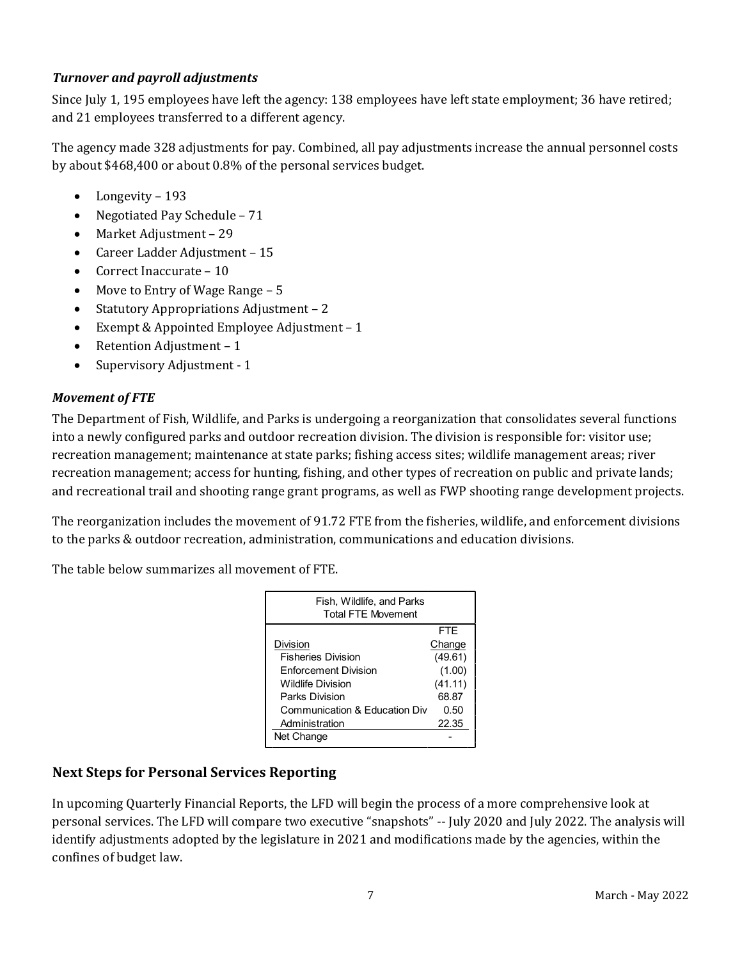### *Turnover and payroll adjustments*

Since July 1, 195 employees have left the agency: 138 employees have left state employment; 36 have retired; and 21 employees transferred to a different agency.

The agency made 328 adjustments for pay. Combined, all pay adjustments increase the annual personnel costs by about \$468,400 or about 0.8% of the personal services budget.

- Longevity 193
- Negotiated Pay Schedule 71
- Market Adjustment 29
- Career Ladder Adjustment 15
- Correct Inaccurate 10
- Move to Entry of Wage Range 5
- Statutory Appropriations Adjustment 2
- Exempt & Appointed Employee Adjustment 1
- Retention Adjustment 1
- Supervisory Adjustment 1

#### *Movement of FTE*

The Department of Fish, Wildlife, and Parks is undergoing a reorganization that consolidates several functions into a newly configured parks and outdoor recreation division. The division is responsible for: visitor use; recreation management; maintenance at state parks; fishing access sites; wildlife management areas; river recreation management; access for hunting, fishing, and other types of recreation on public and private lands; and recreational trail and shooting range grant programs, as well as FWP shooting range development projects.

The reorganization includes the movement of 91.72 FTE from the fisheries, wildlife, and enforcement divisions to the parks & outdoor recreation, administration, communications and education divisions.

The table below summarizes all movement of FTE.

| Fish, Wildlife, and Parks<br><b>Total FTE Movement</b> |            |  |  |  |
|--------------------------------------------------------|------------|--|--|--|
|                                                        | <b>FTE</b> |  |  |  |
| <b>Division</b>                                        | Change     |  |  |  |
| <b>Fisheries Division</b>                              | (49.61)    |  |  |  |
| <b>Fnforcement Division</b>                            | (1.00)     |  |  |  |
| <b>Wildlife Division</b>                               | (41.11)    |  |  |  |
| <b>Parks Division</b>                                  | 68.87      |  |  |  |
| Communication & Education Div                          | 0.50       |  |  |  |
| Administration                                         | 22.35      |  |  |  |
| Net Change                                             |            |  |  |  |

# **Next Steps for Personal Services Reporting**

In upcoming Quarterly Financial Reports, the LFD will begin the process of a more comprehensive look at personal services. The LFD will compare two executive "snapshots" -- July 2020 and July 2022. The analysis will identify adjustments adopted by the legislature in 2021 and modifications made by the agencies, within the confines of budget law.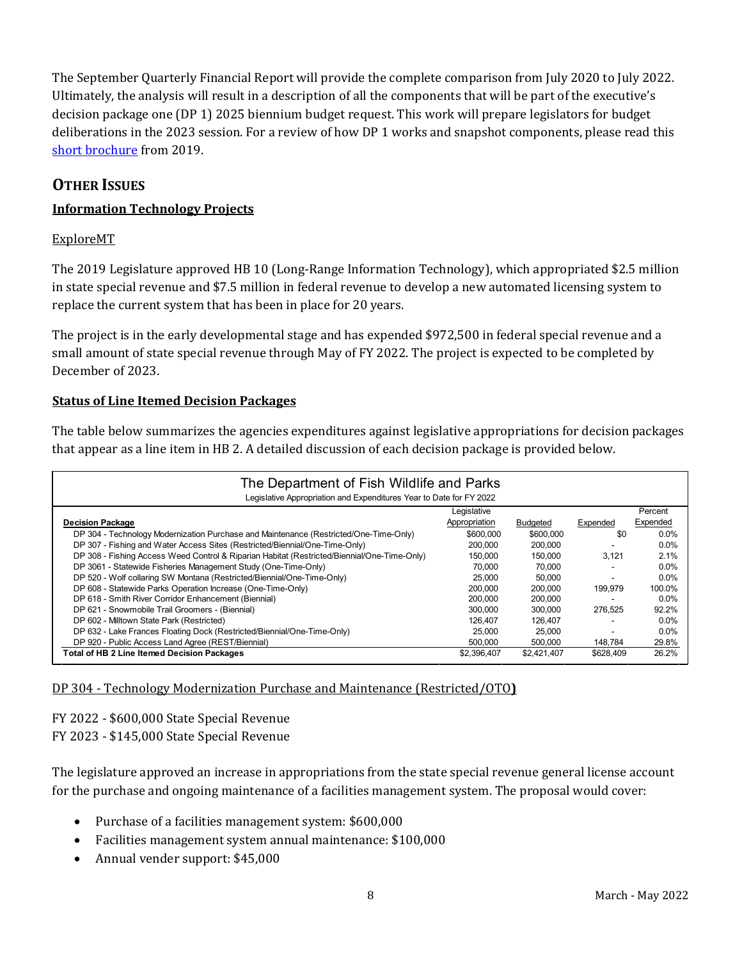The September Quarterly Financial Report will provide the complete comparison from July 2020 to July 2022. Ultimately, the analysis will result in a description of all the components that will be part of the executive's decision package one (DP 1) 2025 biennium budget request. This work will prepare legislators for budget deliberations in the 2023 session. For a review of how DP 1 works and snapshot components, please read this [short brochure](https://montana.maps.arcgis.com/apps/Cascade/index.html?appid=23095fcf15754f4fb38b63c58a884b97) from 2019.

# **OTHER ISSUES**

# **Information Technology Projects**

#### ExploreMT

The 2019 Legislature approved HB 10 (Long-Range Information Technology), which appropriated \$2.5 million in state special revenue and \$7.5 million in federal revenue to develop a new automated licensing system to replace the current system that has been in place for 20 years.

The project is in the early developmental stage and has expended \$972,500 in federal special revenue and a small amount of state special revenue through May of FY 2022. The project is expected to be completed by December of 2023.

#### **Status of Line Itemed Decision Packages**

The table below summarizes the agencies expenditures against legislative appropriations for decision packages that appear as a line item in HB 2. A detailed discussion of each decision package is provided below.

| The Department of Fish Wildlife and Parks<br>Legislative Appropriation and Expenditures Year to Date for FY 2022 |               |                 |           |          |  |  |  |
|------------------------------------------------------------------------------------------------------------------|---------------|-----------------|-----------|----------|--|--|--|
|                                                                                                                  | Legislative   |                 |           | Percent  |  |  |  |
| <b>Decision Package</b>                                                                                          | Appropriation | <b>Budgeted</b> | Expended  | Expended |  |  |  |
| DP 304 - Technology Modernization Purchase and Maintenance (Restricted/One-Time-Only)                            | \$600,000     | \$600,000       | \$0       | $0.0\%$  |  |  |  |
| DP 307 - Fishing and Water Access Sites (Restricted/Biennial/One-Time-Only)                                      | 200.000       | 200,000         |           | $0.0\%$  |  |  |  |
| DP 308 - Fishing Access Weed Control & Riparian Habitat (Restricted/Biennial/One-Time-Only)                      | 150.000       | 150.000         | 3.121     | 2.1%     |  |  |  |
| DP 3061 - Statewide Fisheries Management Study (One-Time-Only)                                                   | 70.000        | 70.000          |           | $0.0\%$  |  |  |  |
| DP 520 - Wolf collaring SW Montana (Restricted/Biennial/One-Time-Only)                                           | 25.000        | 50.000          |           | $0.0\%$  |  |  |  |
| DP 608 - Statewide Parks Operation Increase (One-Time-Only)                                                      | 200.000       | 200,000         | 199.979   | 100.0%   |  |  |  |
| DP 618 - Smith River Corridor Enhancement (Biennial)                                                             | 200.000       | 200,000         |           | $0.0\%$  |  |  |  |
| DP 621 - Snowmobile Trail Groomers - (Biennial)                                                                  | 300.000       | 300,000         | 276.525   | 92.2%    |  |  |  |
| DP 602 - Milltown State Park (Restricted)                                                                        | 126.407       | 126.407         |           | $0.0\%$  |  |  |  |
| DP 632 - Lake Frances Floating Dock (Restricted/Biennial/One-Time-Only)                                          | 25,000        | 25.000          |           | $0.0\%$  |  |  |  |
| DP 920 - Public Access Land Agree (REST/Biennial)                                                                | 500.000       | 500.000         | 148.784   | 29.8%    |  |  |  |
| <b>Total of HB 2 Line Itemed Decision Packages</b>                                                               | \$2,396,407   | \$2,421,407     | \$628.409 | 26.2%    |  |  |  |

#### DP 304 - Technology Modernization Purchase and Maintenance (Restricted/OTO**)**

# FY 2022 - \$600,000 State Special Revenue

FY 2023 - \$145,000 State Special Revenue

The legislature approved an increase in appropriations from the state special revenue general license account for the purchase and ongoing maintenance of a facilities management system. The proposal would cover:

- Purchase of a facilities management system: \$600,000
- Facilities management system annual maintenance: \$100,000
- Annual vender support: \$45,000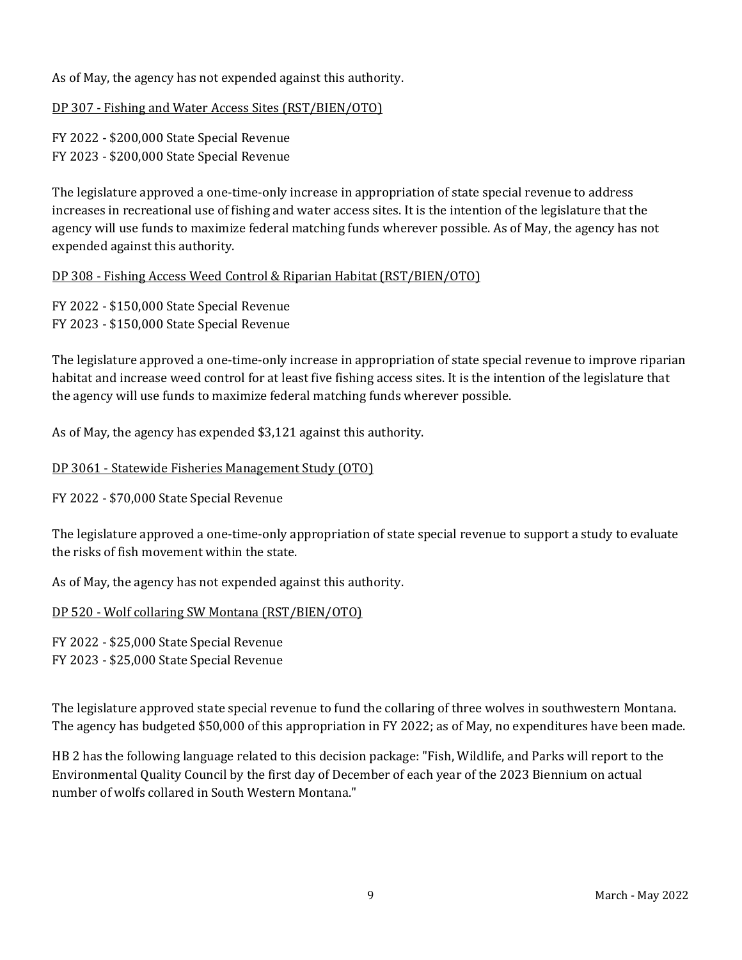As of May, the agency has not expended against this authority.

#### DP 307 - Fishing and Water Access Sites (RST/BIEN/OTO)

FY 2022 - \$200,000 State Special Revenue FY 2023 - \$200,000 State Special Revenue

The legislature approved a one-time-only increase in appropriation of state special revenue to address increases in recreational use of fishing and water access sites. It is the intention of the legislature that the agency will use funds to maximize federal matching funds wherever possible. As of May, the agency has not expended against this authority.

#### DP 308 - Fishing Access Weed Control & Riparian Habitat (RST/BIEN/OTO)

FY 2022 - \$150,000 State Special Revenue FY 2023 - \$150,000 State Special Revenue

The legislature approved a one-time-only increase in appropriation of state special revenue to improve riparian habitat and increase weed control for at least five fishing access sites. It is the intention of the legislature that the agency will use funds to maximize federal matching funds wherever possible.

As of May, the agency has expended \$3,121 against this authority.

#### DP 3061 - Statewide Fisheries Management Study (OTO)

FY 2022 - \$70,000 State Special Revenue

The legislature approved a one-time-only appropriation of state special revenue to support a study to evaluate the risks of fish movement within the state.

As of May, the agency has not expended against this authority.

#### DP 520 - Wolf collaring SW Montana (RST/BIEN/OTO)

FY 2022 - \$25,000 State Special Revenue FY 2023 - \$25,000 State Special Revenue

The legislature approved state special revenue to fund the collaring of three wolves in southwestern Montana. The agency has budgeted \$50,000 of this appropriation in FY 2022; as of May, no expenditures have been made.

HB 2 has the following language related to this decision package: "Fish, Wildlife, and Parks will report to the Environmental Quality Council by the first day of December of each year of the 2023 Biennium on actual number of wolfs collared in South Western Montana."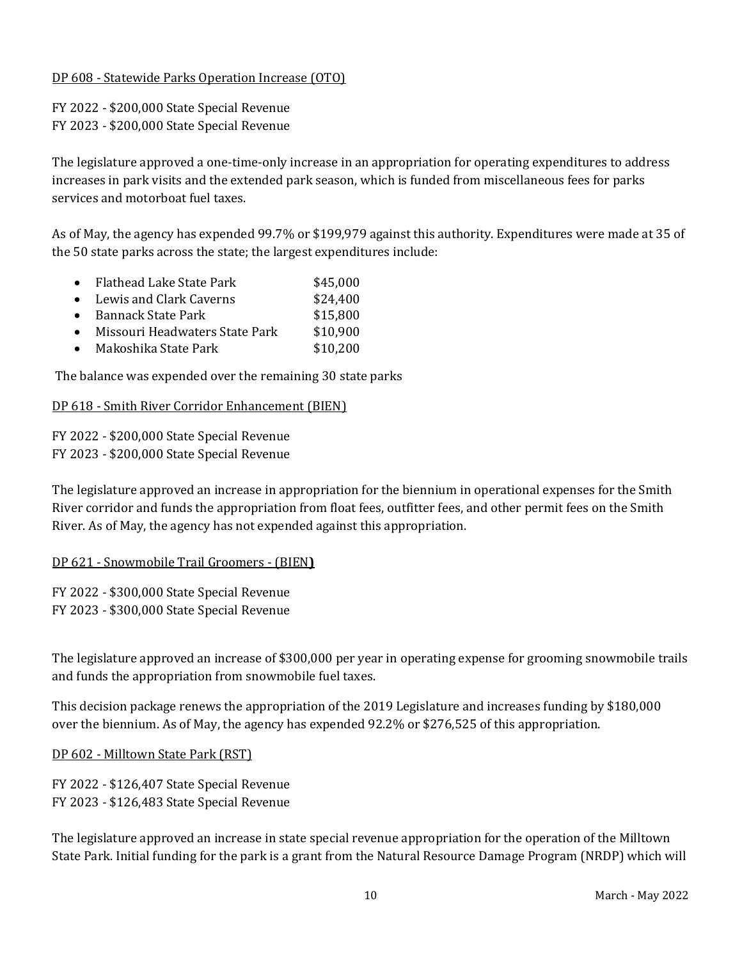#### DP 608 - Statewide Parks Operation Increase (OTO)

FY 2022 - \$200,000 State Special Revenue FY 2023 - \$200,000 State Special Revenue

The legislature approved a one-time-only increase in an appropriation for operating expenditures to address increases in park visits and the extended park season, which is funded from miscellaneous fees for parks services and motorboat fuel taxes.

As of May, the agency has expended 99.7% or \$199,979 against this authority. Expenditures were made at 35 of the 50 state parks across the state; the largest expenditures include:

- Flathead Lake State Park \$45,000<br>• Lewis and Clark Caverns \$24,400
- Lewis and Clark Caverns \$24,400<br>• Bannack State Park \$15,800
- Bannack State Park \$15,800<br>• Missouri Headwaters State Park \$10,900
- Missouri Headwaters State Park \$10,900<br>• Makoshika State Park \$10,200
- $\bullet$  Makoshika State Park

The balance was expended over the remaining 30 state parks

#### DP 618 - Smith River Corridor Enhancement (BIEN)

FY 2022 - \$200,000 State Special Revenue FY 2023 - \$200,000 State Special Revenue

The legislature approved an increase in appropriation for the biennium in operational expenses for the Smith River corridor and funds the appropriation from float fees, outfitter fees, and other permit fees on the Smith River. As of May, the agency has not expended against this appropriation.

#### DP 621 - Snowmobile Trail Groomers - (BIEN**)**

FY 2022 - \$300,000 State Special Revenue FY 2023 - \$300,000 State Special Revenue

The legislature approved an increase of \$300,000 per year in operating expense for grooming snowmobile trails and funds the appropriation from snowmobile fuel taxes.

This decision package renews the appropriation of the 2019 Legislature and increases funding by \$180,000 over the biennium. As of May, the agency has expended 92.2% or \$276,525 of this appropriation.

#### DP 602 - Milltown State Park (RST)

FY 2022 - \$126,407 State Special Revenue FY 2023 - \$126,483 State Special Revenue

The legislature approved an increase in state special revenue appropriation for the operation of the Milltown State Park. Initial funding for the park is a grant from the Natural Resource Damage Program (NRDP) which will